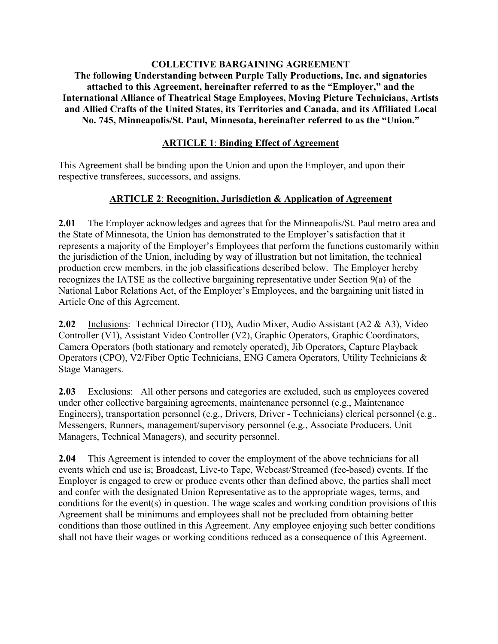#### **COLLECTIVE BARGAINING AGREEMENT The following Understanding between Purple Tally Productions, Inc. and signatories attached to this Agreement, hereinafter referred to as the "Employer," and the International Alliance of Theatrical Stage Employees, Moving Picture Technicians, Artists and Allied Crafts of the United States, its Territories and Canada, and its Affiliated Local No. 745, Minneapolis/St. Paul, Minnesota, hereinafter referred to as the "Union."**

### **ARTICLE 1**: **Binding Effect of Agreement**

This Agreement shall be binding upon the Union and upon the Employer, and upon their respective transferees, successors, and assigns.

#### **ARTICLE 2**: **Recognition, Jurisdiction & Application of Agreement**

**2.01** The Employer acknowledges and agrees that for the Minneapolis/St. Paul metro area and the State of Minnesota, the Union has demonstrated to the Employer's satisfaction that it represents a majority of the Employer's Employees that perform the functions customarily within the jurisdiction of the Union, including by way of illustration but not limitation, the technical production crew members, in the job classifications described below. The Employer hereby recognizes the IATSE as the collective bargaining representative under Section 9(a) of the National Labor Relations Act, of the Employer's Employees, and the bargaining unit listed in Article One of this Agreement.

**2.02** Inclusions: Technical Director (TD), Audio Mixer, Audio Assistant (A2 & A3), Video Controller (V1), Assistant Video Controller (V2), Graphic Operators, Graphic Coordinators, Camera Operators (both stationary and remotely operated), Jib Operators, Capture Playback Operators (CPO), V2/Fiber Optic Technicians, ENG Camera Operators, Utility Technicians & Stage Managers.

**2.03** Exclusions: All other persons and categories are excluded, such as employees covered under other collective bargaining agreements, maintenance personnel (e.g., Maintenance Engineers), transportation personnel (e.g., Drivers, Driver - Technicians) clerical personnel (e.g., Messengers, Runners, management/supervisory personnel (e.g., Associate Producers, Unit Managers, Technical Managers), and security personnel.

**2.04** This Agreement is intended to cover the employment of the above technicians for all events which end use is; Broadcast, Live-to Tape, Webcast/Streamed (fee-based) events. If the Employer is engaged to crew or produce events other than defined above, the parties shall meet and confer with the designated Union Representative as to the appropriate wages, terms, and conditions for the event(s) in question. The wage scales and working condition provisions of this Agreement shall be minimums and employees shall not be precluded from obtaining better conditions than those outlined in this Agreement. Any employee enjoying such better conditions shall not have their wages or working conditions reduced as a consequence of this Agreement.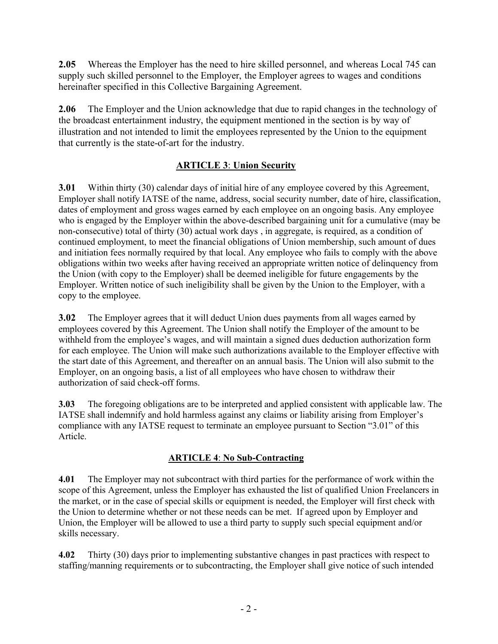**2.05** Whereas the Employer has the need to hire skilled personnel, and whereas Local 745 can supply such skilled personnel to the Employer, the Employer agrees to wages and conditions hereinafter specified in this Collective Bargaining Agreement.

**2.06** The Employer and the Union acknowledge that due to rapid changes in the technology of the broadcast entertainment industry, the equipment mentioned in the section is by way of illustration and not intended to limit the employees represented by the Union to the equipment that currently is the state-of-art for the industry.

# **ARTICLE 3**: **Union Security**

**3.01** Within thirty (30) calendar days of initial hire of any employee covered by this Agreement, Employer shall notify IATSE of the name, address, social security number, date of hire, classification, dates of employment and gross wages earned by each employee on an ongoing basis. Any employee who is engaged by the Employer within the above-described bargaining unit for a cumulative (may be non-consecutive) total of thirty (30) actual work days , in aggregate, is required, as a condition of continued employment, to meet the financial obligations of Union membership, such amount of dues and initiation fees normally required by that local. Any employee who fails to comply with the above obligations within two weeks after having received an appropriate written notice of delinquency from the Union (with copy to the Employer) shall be deemed ineligible for future engagements by the Employer. Written notice of such ineligibility shall be given by the Union to the Employer, with a copy to the employee.

**3.02** The Employer agrees that it will deduct Union dues payments from all wages earned by employees covered by this Agreement. The Union shall notify the Employer of the amount to be withheld from the employee's wages, and will maintain a signed dues deduction authorization form for each employee. The Union will make such authorizations available to the Employer effective with the start date of this Agreement, and thereafter on an annual basis. The Union will also submit to the Employer, on an ongoing basis, a list of all employees who have chosen to withdraw their authorization of said check-off forms.

**3.03** The foregoing obligations are to be interpreted and applied consistent with applicable law. The IATSE shall indemnify and hold harmless against any claims or liability arising from Employer's compliance with any IATSE request to terminate an employee pursuant to Section "3.01" of this Article.

## **ARTICLE 4**: **No Sub-Contracting**

**4.01** The Employer may not subcontract with third parties for the performance of work within the scope of this Agreement, unless the Employer has exhausted the list of qualified Union Freelancers in the market, or in the case of special skills or equipment is needed, the Employer will first check with the Union to determine whether or not these needs can be met. If agreed upon by Employer and Union, the Employer will be allowed to use a third party to supply such special equipment and/or skills necessary.

**4.02** Thirty (30) days prior to implementing substantive changes in past practices with respect to staffing/manning requirements or to subcontracting, the Employer shall give notice of such intended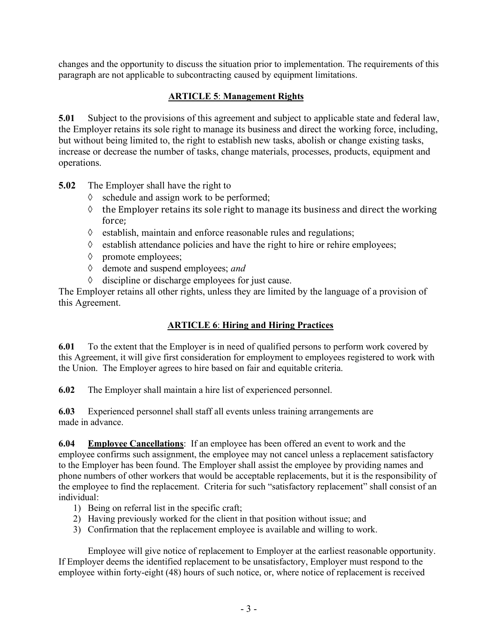changes and the opportunity to discuss the situation prior to implementation. The requirements of this paragraph are not applicable to subcontracting caused by equipment limitations.

### **ARTICLE 5**: **Management Rights**

**5.01** Subject to the provisions of this agreement and subject to applicable state and federal law, the Employer retains its sole right to manage its business and direct the working force, including, but without being limited to, the right to establish new tasks, abolish or change existing tasks, increase or decrease the number of tasks, change materials, processes, products, equipment and operations.

**5.02** The Employer shall have the right to

- $\Diamond$  schedule and assign work to be performed;
- $\Diamond$  the Employer retains its sole right to manage its business and direct the working force;
- $\Diamond$  establish, maintain and enforce reasonable rules and regulations;
- $\Diamond$  establish attendance policies and have the right to hire or rehire employees;
- à promote employees;
- à demote and suspend employees; *and*
- $\Diamond$  discipline or discharge employees for just cause.

The Employer retains all other rights, unless they are limited by the language of a provision of this Agreement.

## **ARTICLE 6**: **Hiring and Hiring Practices**

**6.01** To the extent that the Employer is in need of qualified persons to perform work covered by this Agreement, it will give first consideration for employment to employees registered to work with the Union. The Employer agrees to hire based on fair and equitable criteria.

**6.02** The Employer shall maintain a hire list of experienced personnel.

**6.03** Experienced personnel shall staff all events unless training arrangements are made in advance.

**6.04 Employee Cancellations**: If an employee has been offered an event to work and the employee confirms such assignment, the employee may not cancel unless a replacement satisfactory to the Employer has been found. The Employer shall assist the employee by providing names and phone numbers of other workers that would be acceptable replacements, but it is the responsibility of the employee to find the replacement. Criteria for such "satisfactory replacement" shall consist of an individual:

- 1) Being on referral list in the specific craft;
- 2) Having previously worked for the client in that position without issue; and
- 3) Confirmation that the replacement employee is available and willing to work.

Employee will give notice of replacement to Employer at the earliest reasonable opportunity. If Employer deems the identified replacement to be unsatisfactory, Employer must respond to the employee within forty-eight (48) hours of such notice, or, where notice of replacement is received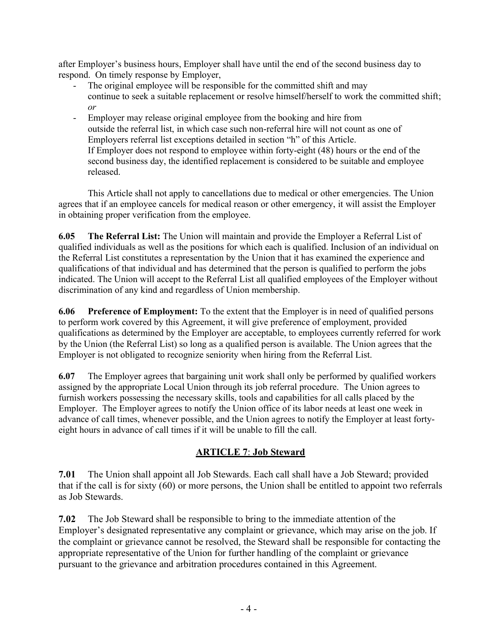after Employer's business hours, Employer shall have until the end of the second business day to respond. On timely response by Employer,

- The original employee will be responsible for the committed shift and may continue to seek a suitable replacement or resolve himself/herself to work the committed shift; *or*
- Employer may release original employee from the booking and hire from outside the referral list, in which case such non-referral hire will not count as one of Employers referral list exceptions detailed in section "h" of this Article. If Employer does not respond to employee within forty-eight (48) hours or the end of the second business day, the identified replacement is considered to be suitable and employee released.

This Article shall not apply to cancellations due to medical or other emergencies. The Union agrees that if an employee cancels for medical reason or other emergency, it will assist the Employer in obtaining proper verification from the employee.

**6.05 The Referral List:** The Union will maintain and provide the Employer a Referral List of qualified individuals as well as the positions for which each is qualified. Inclusion of an individual on the Referral List constitutes a representation by the Union that it has examined the experience and qualifications of that individual and has determined that the person is qualified to perform the jobs indicated. The Union will accept to the Referral List all qualified employees of the Employer without discrimination of any kind and regardless of Union membership.

**6.06 Preference of Employment:** To the extent that the Employer is in need of qualified persons to perform work covered by this Agreement, it will give preference of employment, provided qualifications as determined by the Employer are acceptable, to employees currently referred for work by the Union (the Referral List) so long as a qualified person is available. The Union agrees that the Employer is not obligated to recognize seniority when hiring from the Referral List.

**6.07** The Employer agrees that bargaining unit work shall only be performed by qualified workers assigned by the appropriate Local Union through its job referral procedure. The Union agrees to furnish workers possessing the necessary skills, tools and capabilities for all calls placed by the Employer. The Employer agrees to notify the Union office of its labor needs at least one week in advance of call times, whenever possible, and the Union agrees to notify the Employer at least fortyeight hours in advance of call times if it will be unable to fill the call.

# **ARTICLE 7**: **Job Steward**

**7.01** The Union shall appoint all Job Stewards. Each call shall have a Job Steward; provided that if the call is for sixty (60) or more persons, the Union shall be entitled to appoint two referrals as Job Stewards.

**7.02** The Job Steward shall be responsible to bring to the immediate attention of the Employer's designated representative any complaint or grievance, which may arise on the job. If the complaint or grievance cannot be resolved, the Steward shall be responsible for contacting the appropriate representative of the Union for further handling of the complaint or grievance pursuant to the grievance and arbitration procedures contained in this Agreement.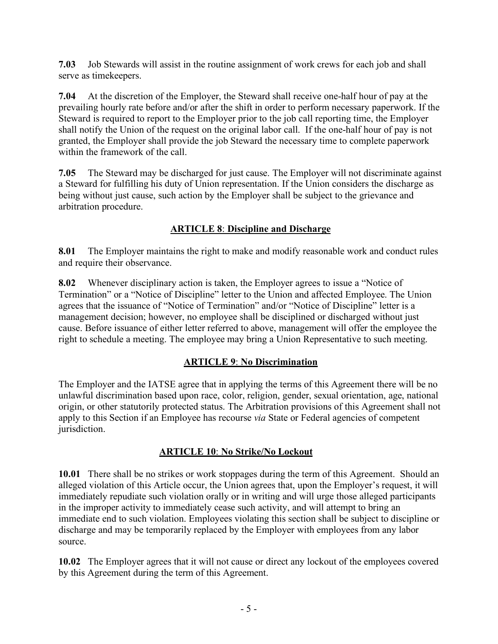**7.03** Job Stewards will assist in the routine assignment of work crews for each job and shall serve as timekeepers.

**7.04** At the discretion of the Employer, the Steward shall receive one-half hour of pay at the prevailing hourly rate before and/or after the shift in order to perform necessary paperwork. If the Steward is required to report to the Employer prior to the job call reporting time, the Employer shall notify the Union of the request on the original labor call. If the one-half hour of pay is not granted, the Employer shall provide the job Steward the necessary time to complete paperwork within the framework of the call.

**7.05** The Steward may be discharged for just cause. The Employer will not discriminate against a Steward for fulfilling his duty of Union representation. If the Union considers the discharge as being without just cause, such action by the Employer shall be subject to the grievance and arbitration procedure.

# **ARTICLE 8**: **Discipline and Discharge**

**8.01** The Employer maintains the right to make and modify reasonable work and conduct rules and require their observance.

**8.02** Whenever disciplinary action is taken, the Employer agrees to issue a "Notice of Termination" or a "Notice of Discipline" letter to the Union and affected Employee. The Union agrees that the issuance of "Notice of Termination" and/or "Notice of Discipline" letter is a management decision; however, no employee shall be disciplined or discharged without just cause. Before issuance of either letter referred to above, management will offer the employee the right to schedule a meeting. The employee may bring a Union Representative to such meeting.

# **ARTICLE 9**: **No Discrimination**

The Employer and the IATSE agree that in applying the terms of this Agreement there will be no unlawful discrimination based upon race, color, religion, gender, sexual orientation, age, national origin, or other statutorily protected status. The Arbitration provisions of this Agreement shall not apply to this Section if an Employee has recourse *via* State or Federal agencies of competent jurisdiction.

# **ARTICLE 10**: **No Strike/No Lockout**

**10.01** There shall be no strikes or work stoppages during the term of this Agreement. Should an alleged violation of this Article occur, the Union agrees that, upon the Employer's request, it will immediately repudiate such violation orally or in writing and will urge those alleged participants in the improper activity to immediately cease such activity, and will attempt to bring an immediate end to such violation. Employees violating this section shall be subject to discipline or discharge and may be temporarily replaced by the Employer with employees from any labor source.

**10.02** The Employer agrees that it will not cause or direct any lockout of the employees covered by this Agreement during the term of this Agreement.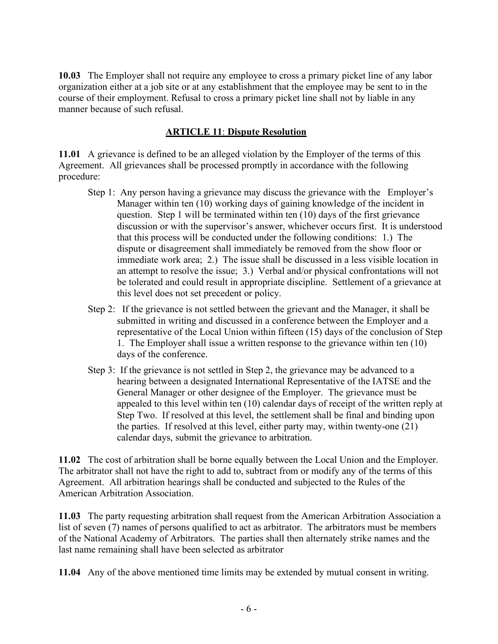**10.03** The Employer shall not require any employee to cross a primary picket line of any labor organization either at a job site or at any establishment that the employee may be sent to in the course of their employment. Refusal to cross a primary picket line shall not by liable in any manner because of such refusal.

### **ARTICLE 11**: **Dispute Resolution**

**11.01** A grievance is defined to be an alleged violation by the Employer of the terms of this Agreement. All grievances shall be processed promptly in accordance with the following procedure:

- Step 1: Any person having a grievance may discuss the grievance with the Employer's Manager within ten (10) working days of gaining knowledge of the incident in question. Step 1 will be terminated within ten (10) days of the first grievance discussion or with the supervisor's answer, whichever occurs first. It is understood that this process will be conducted under the following conditions: 1.) The dispute or disagreement shall immediately be removed from the show floor or immediate work area; 2.) The issue shall be discussed in a less visible location in an attempt to resolve the issue; 3.) Verbal and/or physical confrontations will not be tolerated and could result in appropriate discipline. Settlement of a grievance at this level does not set precedent or policy.
- Step 2: If the grievance is not settled between the grievant and the Manager, it shall be submitted in writing and discussed in a conference between the Employer and a representative of the Local Union within fifteen (15) days of the conclusion of Step 1. The Employer shall issue a written response to the grievance within ten (10) days of the conference.
- Step 3: If the grievance is not settled in Step 2, the grievance may be advanced to a hearing between a designated International Representative of the IATSE and the General Manager or other designee of the Employer. The grievance must be appealed to this level within ten (10) calendar days of receipt of the written reply at Step Two. If resolved at this level, the settlement shall be final and binding upon the parties. If resolved at this level, either party may, within twenty-one (21) calendar days, submit the grievance to arbitration.

**11.02** The cost of arbitration shall be borne equally between the Local Union and the Employer. The arbitrator shall not have the right to add to, subtract from or modify any of the terms of this Agreement. All arbitration hearings shall be conducted and subjected to the Rules of the American Arbitration Association.

**11.03** The party requesting arbitration shall request from the American Arbitration Association a list of seven (7) names of persons qualified to act as arbitrator. The arbitrators must be members of the National Academy of Arbitrators. The parties shall then alternately strike names and the last name remaining shall have been selected as arbitrator

**11.04** Any of the above mentioned time limits may be extended by mutual consent in writing.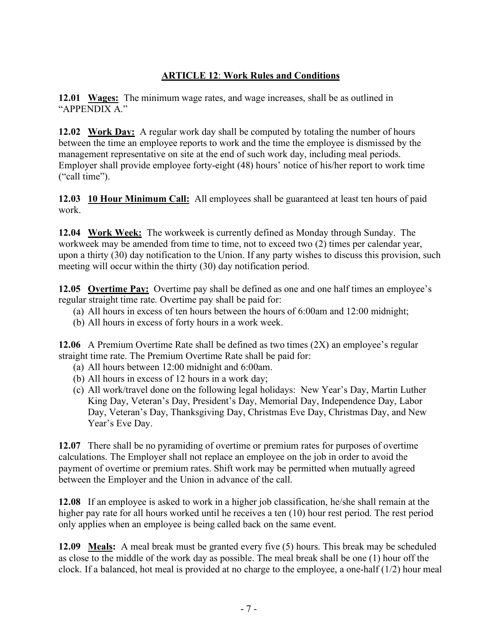# **ARTICLE 12**: **Work Rules and Conditions**

**12.01 Wages:** The minimum wage rates, and wage increases, shall be as outlined in "APPENDIX A."

**12.02 Work Day:** A regular work day shall be computed by totaling the number of hours between the time an employee reports to work and the time the employee is dismissed by the management representative on site at the end of such work day, including meal periods. Employer shall provide employee forty-eight (48) hours' notice of his/her report to work time ("call time").

**12.03 10 Hour Minimum Call:** All employees shall be guaranteed at least ten hours of paid work.

**12.04 Work Week:** The workweek is currently defined as Monday through Sunday. The workweek may be amended from time to time, not to exceed two (2) times per calendar year, upon a thirty (30) day notification to the Union. If any party wishes to discuss this provision, such meeting will occur within the thirty (30) day notification period.

**12.05 Overtime Pay:** Overtime pay shall be defined as one and one half times an employee's regular straight time rate. Overtime pay shall be paid for:

- (a) All hours in excess of ten hours between the hours of 6:00am and 12:00 midnight;
- (b) All hours in excess of forty hours in a work week.

**12.06** A Premium Overtime Rate shall be defined as two times (2X) an employee's regular straight time rate. The Premium Overtime Rate shall be paid for:

- (a) All hours between 12:00 midnight and 6:00am.
- (b) All hours in excess of 12 hours in a work day;
- (c) All work/travel done on the following legal holidays: New Year's Day, Martin Luther King Day, Veteran's Day, President's Day, Memorial Day, Independence Day, Labor Day, Veteran's Day, Thanksgiving Day, Christmas Eve Day, Christmas Day, and New Year's Eve Day.

**12.07** There shall be no pyramiding of overtime or premium rates for purposes of overtime calculations. The Employer shall not replace an employee on the job in order to avoid the payment of overtime or premium rates. Shift work may be permitted when mutually agreed between the Employer and the Union in advance of the call.

**12.08** If an employee is asked to work in a higher job classification, he/she shall remain at the higher pay rate for all hours worked until he receives a ten (10) hour rest period. The rest period only applies when an employee is being called back on the same event.

**12.09 Meals:** A meal break must be granted every five (5) hours. This break may be scheduled as close to the middle of the work day as possible. The meal break shall be one (1) hour off the clock. If a balanced, hot meal is provided at no charge to the employee, a one-half (1/2) hour meal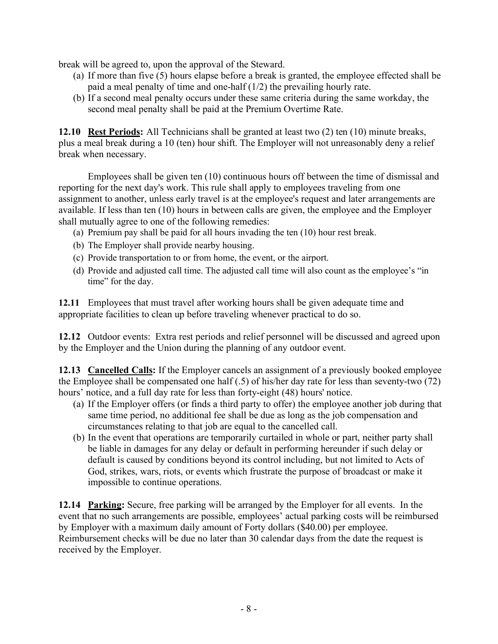break will be agreed to, upon the approval of the Steward.

- (a) If more than five (5) hours elapse before a break is granted, the employee effected shall be paid a meal penalty of time and one-half (1/2) the prevailing hourly rate.
- (b) If a second meal penalty occurs under these same criteria during the same workday, the second meal penalty shall be paid at the Premium Overtime Rate.

**12.10 Rest Periods:** All Technicians shall be granted at least two (2) ten (10) minute breaks, plus a meal break during a 10 (ten) hour shift. The Employer will not unreasonably deny a relief break when necessary.

Employees shall be given ten (10) continuous hours off between the time of dismissal and reporting for the next day's work. This rule shall apply to employees traveling from one assignment to another, unless early travel is at the employee's request and later arrangements are available. If less than ten (10) hours in between calls are given, the employee and the Employer shall mutually agree to one of the following remedies:

- (a) Premium pay shall be paid for all hours invading the ten (10) hour rest break.
- (b) The Employer shall provide nearby housing.
- (c) Provide transportation to or from home, the event, or the airport.
- (d) Provide and adjusted call time. The adjusted call time will also count as the employee's "in time" for the day.

**12.11** Employees that must travel after working hours shall be given adequate time and appropriate facilities to clean up before traveling whenever practical to do so.

**12.12** Outdoor events: Extra rest periods and relief personnel will be discussed and agreed upon by the Employer and the Union during the planning of any outdoor event.

**12.13 Cancelled Calls:** If the Employer cancels an assignment of a previously booked employee the Employee shall be compensated one half (.5) of his/her day rate for less than seventy-two (72) hours' notice, and a full day rate for less than forty-eight (48) hours' notice.

- (a) If the Employer offers (or finds a third party to offer) the employee another job during that same time period, no additional fee shall be due as long as the job compensation and circumstances relating to that job are equal to the cancelled call.
- (b) In the event that operations are temporarily curtailed in whole or part, neither party shall be liable in damages for any delay or default in performing hereunder if such delay or default is caused by conditions beyond its control including, but not limited to Acts of God, strikes, wars, riots, or events which frustrate the purpose of broadcast or make it impossible to continue operations.

**12.14 Parking:** Secure, free parking will be arranged by the Employer for all events. In the event that no such arrangements are possible, employees' actual parking costs will be reimbursed by Employer with a maximum daily amount of Forty dollars (\$40.00) per employee. Reimbursement checks will be due no later than 30 calendar days from the date the request is received by the Employer.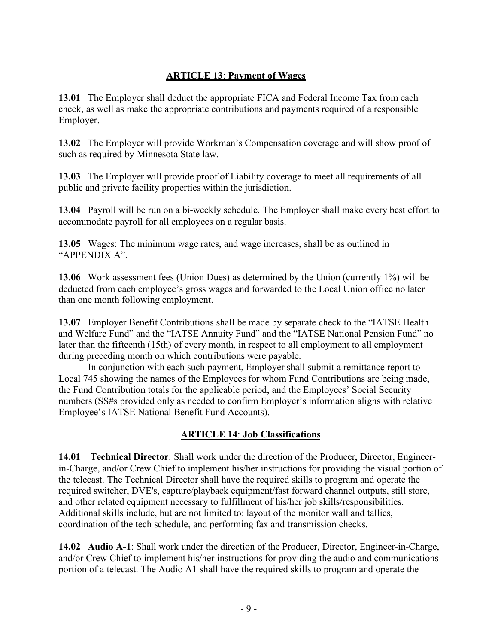### **ARTICLE 13**: **Payment of Wages**

**13.01** The Employer shall deduct the appropriate FICA and Federal Income Tax from each check, as well as make the appropriate contributions and payments required of a responsible Employer.

**13.02** The Employer will provide Workman's Compensation coverage and will show proof of such as required by Minnesota State law.

**13.03** The Employer will provide proof of Liability coverage to meet all requirements of all public and private facility properties within the jurisdiction.

**13.04** Payroll will be run on a bi-weekly schedule. The Employer shall make every best effort to accommodate payroll for all employees on a regular basis.

**13.05** Wages: The minimum wage rates, and wage increases, shall be as outlined in "APPENDIX A".

**13.06** Work assessment fees (Union Dues) as determined by the Union (currently 1%) will be deducted from each employee's gross wages and forwarded to the Local Union office no later than one month following employment.

**13.07** Employer Benefit Contributions shall be made by separate check to the "IATSE Health and Welfare Fund" and the "IATSE Annuity Fund" and the "IATSE National Pension Fund" no later than the fifteenth (15th) of every month, in respect to all employment to all employment during preceding month on which contributions were payable.

In conjunction with each such payment, Employer shall submit a remittance report to Local 745 showing the names of the Employees for whom Fund Contributions are being made, the Fund Contribution totals for the applicable period, and the Employees' Social Security numbers (SS#s provided only as needed to confirm Employer's information aligns with relative Employee's IATSE National Benefit Fund Accounts).

#### **ARTICLE 14**: **Job Classifications**

**14.01 Technical Director**: Shall work under the direction of the Producer, Director, Engineerin-Charge, and/or Crew Chief to implement his/her instructions for providing the visual portion of the telecast. The Technical Director shall have the required skills to program and operate the required switcher, DVE's, capture/playback equipment/fast forward channel outputs, still store, and other related equipment necessary to fulfillment of his/her job skills/responsibilities. Additional skills include, but are not limited to: layout of the monitor wall and tallies, coordination of the tech schedule, and performing fax and transmission checks.

**14.02 Audio A-1**: Shall work under the direction of the Producer, Director, Engineer-in-Charge, and/or Crew Chief to implement his/her instructions for providing the audio and communications portion of a telecast. The Audio A1 shall have the required skills to program and operate the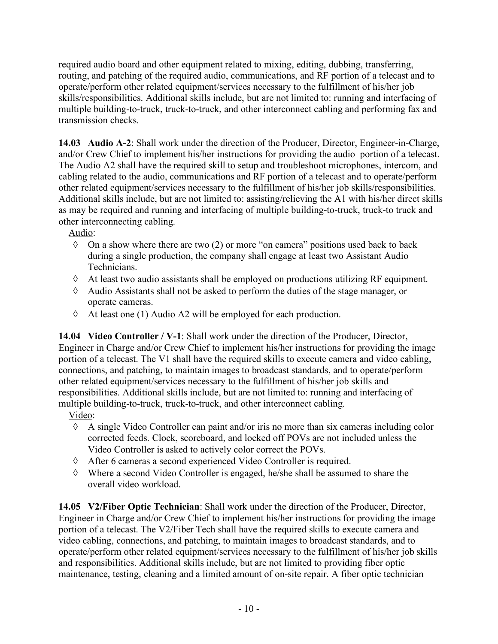required audio board and other equipment related to mixing, editing, dubbing, transferring, routing, and patching of the required audio, communications, and RF portion of a telecast and to operate/perform other related equipment/services necessary to the fulfillment of his/her job skills/responsibilities. Additional skills include, but are not limited to: running and interfacing of multiple building-to-truck, truck-to-truck, and other interconnect cabling and performing fax and transmission checks.

**14.03 Audio A-2**: Shall work under the direction of the Producer, Director, Engineer-in-Charge, and/or Crew Chief to implement his/her instructions for providing the audio portion of a telecast. The Audio A2 shall have the required skill to setup and troubleshoot microphones, intercom, and cabling related to the audio, communications and RF portion of a telecast and to operate/perform other related equipment/services necessary to the fulfillment of his/her job skills/responsibilities. Additional skills include, but are not limited to: assisting/relieving the A1 with his/her direct skills as may be required and running and interfacing of multiple building-to-truck, truck-to truck and other interconnecting cabling.

Audio:

- $\Diamond$  On a show where there are two (2) or more "on camera" positions used back to back during a single production, the company shall engage at least two Assistant Audio Technicians.
- à At least two audio assistants shall be employed on productions utilizing RF equipment.
- à Audio Assistants shall not be asked to perform the duties of the stage manager, or operate cameras.
- $\Diamond$  At least one (1) Audio A2 will be employed for each production.

**14.04 Video Controller / V-1**: Shall work under the direction of the Producer, Director, Engineer in Charge and/or Crew Chief to implement his/her instructions for providing the image portion of a telecast. The V1 shall have the required skills to execute camera and video cabling, connections, and patching, to maintain images to broadcast standards, and to operate/perform other related equipment/services necessary to the fulfillment of his/her job skills and responsibilities. Additional skills include, but are not limited to: running and interfacing of multiple building-to-truck, truck-to-truck, and other interconnect cabling.

Video:

- $\Diamond$  A single Video Controller can paint and/or iris no more than six cameras including color corrected feeds. Clock, scoreboard, and locked off POVs are not included unless the Video Controller is asked to actively color correct the POVs.
- à After 6 cameras a second experienced Video Controller is required.
- à Where a second Video Controller is engaged, he/she shall be assumed to share the overall video workload.

**14.05 V2/Fiber Optic Technician**: Shall work under the direction of the Producer, Director, Engineer in Charge and/or Crew Chief to implement his/her instructions for providing the image portion of a telecast. The V2/Fiber Tech shall have the required skills to execute camera and video cabling, connections, and patching, to maintain images to broadcast standards, and to operate/perform other related equipment/services necessary to the fulfillment of his/her job skills and responsibilities. Additional skills include, but are not limited to providing fiber optic maintenance, testing, cleaning and a limited amount of on-site repair. A fiber optic technician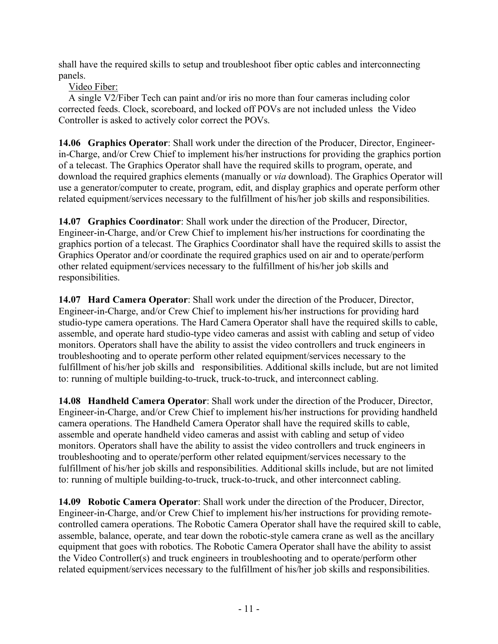shall have the required skills to setup and troubleshoot fiber optic cables and interconnecting panels.

Video Fiber:

 A single V2/Fiber Tech can paint and/or iris no more than four cameras including color corrected feeds. Clock, scoreboard, and locked off POVs are not included unless the Video Controller is asked to actively color correct the POVs.

**14.06 Graphics Operator**: Shall work under the direction of the Producer, Director, Engineerin-Charge, and/or Crew Chief to implement his/her instructions for providing the graphics portion of a telecast. The Graphics Operator shall have the required skills to program, operate, and download the required graphics elements (manually or *via* download). The Graphics Operator will use a generator/computer to create, program, edit, and display graphics and operate perform other related equipment/services necessary to the fulfillment of his/her job skills and responsibilities.

**14.07 Graphics Coordinator**: Shall work under the direction of the Producer, Director, Engineer-in-Charge, and/or Crew Chief to implement his/her instructions for coordinating the graphics portion of a telecast. The Graphics Coordinator shall have the required skills to assist the Graphics Operator and/or coordinate the required graphics used on air and to operate/perform other related equipment/services necessary to the fulfillment of his/her job skills and responsibilities.

**14.07 Hard Camera Operator**: Shall work under the direction of the Producer, Director, Engineer-in-Charge, and/or Crew Chief to implement his/her instructions for providing hard studio-type camera operations. The Hard Camera Operator shall have the required skills to cable, assemble, and operate hard studio-type video cameras and assist with cabling and setup of video monitors. Operators shall have the ability to assist the video controllers and truck engineers in troubleshooting and to operate perform other related equipment/services necessary to the fulfillment of his/her job skills and responsibilities. Additional skills include, but are not limited to: running of multiple building-to-truck, truck-to-truck, and interconnect cabling.

**14.08 Handheld Camera Operator**: Shall work under the direction of the Producer, Director, Engineer-in-Charge, and/or Crew Chief to implement his/her instructions for providing handheld camera operations. The Handheld Camera Operator shall have the required skills to cable, assemble and operate handheld video cameras and assist with cabling and setup of video monitors. Operators shall have the ability to assist the video controllers and truck engineers in troubleshooting and to operate/perform other related equipment/services necessary to the fulfillment of his/her job skills and responsibilities. Additional skills include, but are not limited to: running of multiple building-to-truck, truck-to-truck, and other interconnect cabling.

**14.09 Robotic Camera Operator**: Shall work under the direction of the Producer, Director, Engineer-in-Charge, and/or Crew Chief to implement his/her instructions for providing remotecontrolled camera operations. The Robotic Camera Operator shall have the required skill to cable, assemble, balance, operate, and tear down the robotic-style camera crane as well as the ancillary equipment that goes with robotics. The Robotic Camera Operator shall have the ability to assist the Video Controller(s) and truck engineers in troubleshooting and to operate/perform other related equipment/services necessary to the fulfillment of his/her job skills and responsibilities.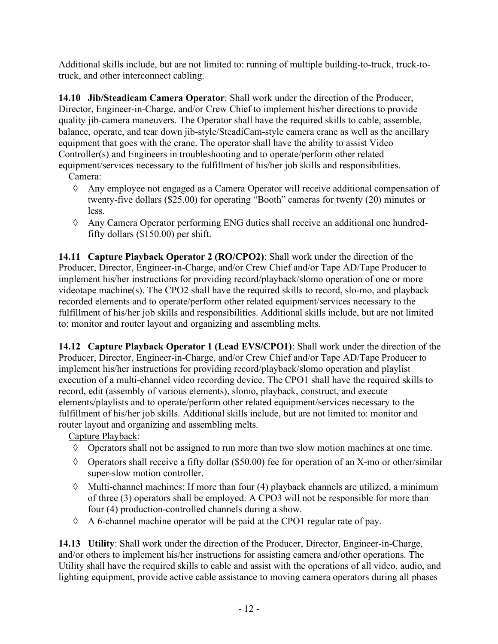Additional skills include, but are not limited to: running of multiple building-to-truck, truck-totruck, and other interconnect cabling.

**14.10 Jib/Steadicam Camera Operator**: Shall work under the direction of the Producer, Director, Engineer-in-Charge, and/or Crew Chief to implement his/her directions to provide quality jib-camera maneuvers. The Operator shall have the required skills to cable, assemble, balance, operate, and tear down jib-style/SteadiCam-style camera crane as well as the ancillary equipment that goes with the crane. The operator shall have the ability to assist Video Controller(s) and Engineers in troubleshooting and to operate/perform other related equipment/services necessary to the fulfillment of his/her job skills and responsibilities.

Camera:

- à Any employee not engaged as a Camera Operator will receive additional compensation of twenty-five dollars (\$25.00) for operating "Booth" cameras for twenty (20) minutes or less.
- $\Diamond$  Any Camera Operator performing ENG duties shall receive an additional one hundredfifty dollars (\$150.00) per shift.

**14.11 Capture Playback Operator 2 (RO/CPO2)**: Shall work under the direction of the Producer, Director, Engineer-in-Charge, and/or Crew Chief and/or Tape AD/Tape Producer to implement his/her instructions for providing record/playback/slomo operation of one or more videotape machine(s). The CPO2 shall have the required skills to record, slo-mo, and playback recorded elements and to operate/perform other related equipment/services necessary to the fulfillment of his/her job skills and responsibilities. Additional skills include, but are not limited to: monitor and router layout and organizing and assembling melts.

**14.12 Capture Playback Operator 1 (Lead EVS/CPO1)**: Shall work under the direction of the Producer, Director, Engineer-in-Charge, and/or Crew Chief and/or Tape AD/Tape Producer to implement his/her instructions for providing record/playback/slomo operation and playlist execution of a multi-channel video recording device. The CPO1 shall have the required skills to record, edit (assembly of various elements), slomo, playback, construct, and execute elements/playlists and to operate/perform other related equipment/services necessary to the fulfillment of his/her job skills. Additional skills include, but are not limited to: monitor and router layout and organizing and assembling melts.

Capture Playback:

- $\Diamond$  Operators shall not be assigned to run more than two slow motion machines at one time.
- $\Diamond$  Operators shall receive a fifty dollar (\$50.00) fee for operation of an X-mo or other/similar super-slow motion controller.
- $\Diamond$  Multi-channel machines: If more than four (4) playback channels are utilized, a minimum of three (3) operators shall be employed. A CPO3 will not be responsible for more than four (4) production-controlled channels during a show.
- $\Diamond$  A 6-channel machine operator will be paid at the CPO1 regular rate of pay.

**14.13 Utility**: Shall work under the direction of the Producer, Director, Engineer-in-Charge, and/or others to implement his/her instructions for assisting camera and/other operations. The Utility shall have the required skills to cable and assist with the operations of all video, audio, and lighting equipment, provide active cable assistance to moving camera operators during all phases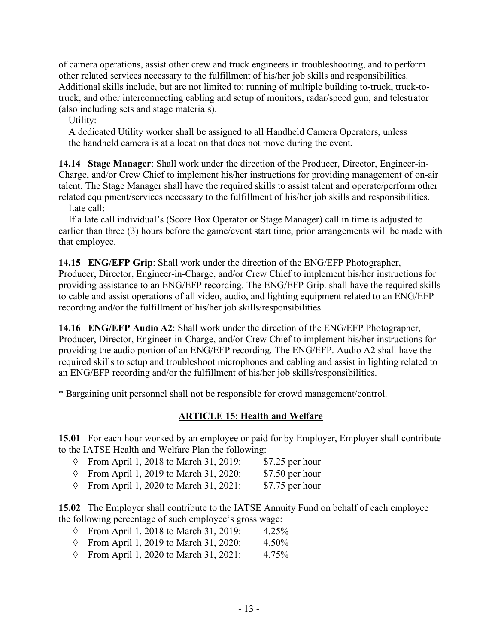of camera operations, assist other crew and truck engineers in troubleshooting, and to perform other related services necessary to the fulfillment of his/her job skills and responsibilities. Additional skills include, but are not limited to: running of multiple building to-truck, truck-totruck, and other interconnecting cabling and setup of monitors, radar/speed gun, and telestrator (also including sets and stage materials).

Utility:

 A dedicated Utility worker shall be assigned to all Handheld Camera Operators, unless the handheld camera is at a location that does not move during the event.

**14.14 Stage Manager**: Shall work under the direction of the Producer, Director, Engineer-in-Charge, and/or Crew Chief to implement his/her instructions for providing management of on-air talent. The Stage Manager shall have the required skills to assist talent and operate/perform other related equipment/services necessary to the fulfillment of his/her job skills and responsibilities.

Late call:

 If a late call individual's (Score Box Operator or Stage Manager) call in time is adjusted to earlier than three (3) hours before the game/event start time, prior arrangements will be made with that employee.

**14.15 ENG/EFP Grip**: Shall work under the direction of the ENG/EFP Photographer, Producer, Director, Engineer-in-Charge, and/or Crew Chief to implement his/her instructions for providing assistance to an ENG/EFP recording. The ENG/EFP Grip. shall have the required skills to cable and assist operations of all video, audio, and lighting equipment related to an ENG/EFP recording and/or the fulfillment of his/her job skills/responsibilities.

**14.16 ENG/EFP Audio A2**: Shall work under the direction of the ENG/EFP Photographer, Producer, Director, Engineer-in-Charge, and/or Crew Chief to implement his/her instructions for providing the audio portion of an ENG/EFP recording. The ENG/EFP. Audio A2 shall have the required skills to setup and troubleshoot microphones and cabling and assist in lighting related to an ENG/EFP recording and/or the fulfillment of his/her job skills/responsibilities.

\* Bargaining unit personnel shall not be responsible for crowd management/control.

## **ARTICLE 15**: **Health and Welfare**

**15.01** For each hour worked by an employee or paid for by Employer, Employer shall contribute to the IATSE Health and Welfare Plan the following:

- $\Diamond$  From April 1, 2018 to March 31, 2019: \$7.25 per hour
- $\Diamond$  From April 1, 2019 to March 31, 2020: \$7.50 per hour
- $\circ$  From April 1, 2020 to March 31, 2021: \$7.75 per hour

**15.02** The Employer shall contribute to the IATSE Annuity Fund on behalf of each employee the following percentage of such employee's gross wage:

- à From April 1, 2018 to March 31, 2019: 4.25%
- à From April 1, 2019 to March 31, 2020: 4.50%
- à From April 1, 2020 to March 31, 2021: 4.75%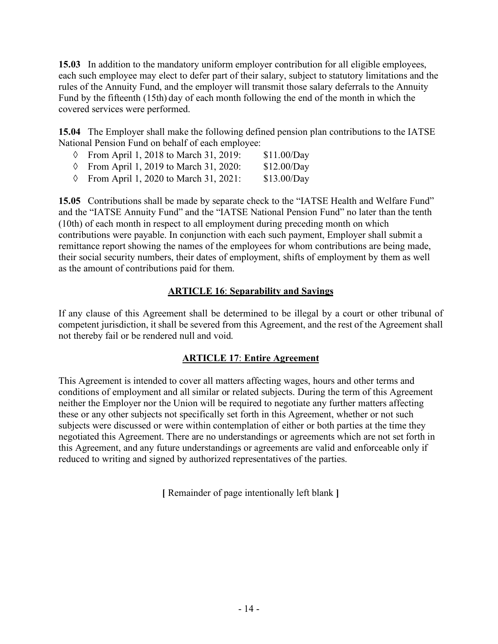**15.03** In addition to the mandatory uniform employer contribution for all eligible employees, each such employee may elect to defer part of their salary, subject to statutory limitations and the rules of the Annuity Fund, and the employer will transmit those salary deferrals to the Annuity Fund by the fifteenth (15th) day of each month following the end of the month in which the covered services were performed.

**15.04** The Employer shall make the following defined pension plan contributions to the IATSE National Pension Fund on behalf of each employee:

- à From April 1, 2018 to March 31, 2019: \$11.00/Day
- à From April 1, 2019 to March 31, 2020: \$12.00/Day
- à From April 1, 2020 to March 31, 2021: \$13.00/Day

**15.05** Contributions shall be made by separate check to the "IATSE Health and Welfare Fund" and the "IATSE Annuity Fund" and the "IATSE National Pension Fund" no later than the tenth (10th) of each month in respect to all employment during preceding month on which contributions were payable. In conjunction with each such payment, Employer shall submit a remittance report showing the names of the employees for whom contributions are being made, their social security numbers, their dates of employment, shifts of employment by them as well as the amount of contributions paid for them.

## **ARTICLE 16**: **Separability and Savings**

If any clause of this Agreement shall be determined to be illegal by a court or other tribunal of competent jurisdiction, it shall be severed from this Agreement, and the rest of the Agreement shall not thereby fail or be rendered null and void.

#### **ARTICLE 17**: **Entire Agreement**

This Agreement is intended to cover all matters affecting wages, hours and other terms and conditions of employment and all similar or related subjects. During the term of this Agreement neither the Employer nor the Union will be required to negotiate any further matters affecting these or any other subjects not specifically set forth in this Agreement, whether or not such subjects were discussed or were within contemplation of either or both parties at the time they negotiated this Agreement. There are no understandings or agreements which are not set forth in this Agreement, and any future understandings or agreements are valid and enforceable only if reduced to writing and signed by authorized representatives of the parties.

**[** Remainder of page intentionally left blank **]**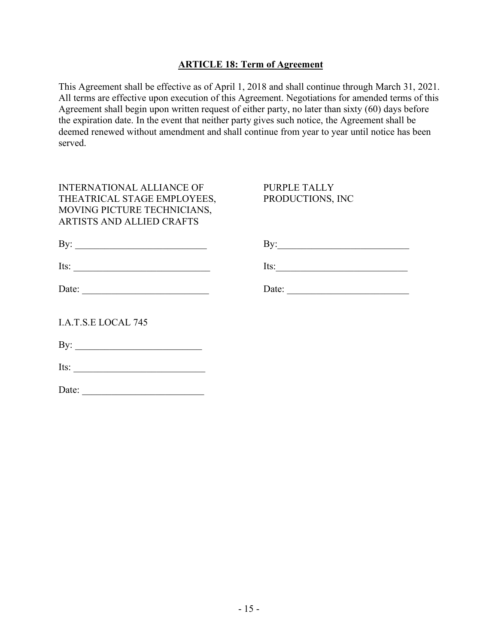#### **ARTICLE 18: Term of Agreement**

This Agreement shall be effective as of April 1, 2018 and shall continue through March 31, 2021. All terms are effective upon execution of this Agreement. Negotiations for amended terms of this Agreement shall begin upon written request of either party, no later than sixty (60) days before the expiration date. In the event that neither party gives such notice, the Agreement shall be deemed renewed without amendment and shall continue from year to year until notice has been served.

| <b>INTERNATIONAL ALLIANCE OF</b><br>THEATRICAL STAGE EMPLOYEES,<br>MOVING PICTURE TECHNICIANS,<br><b>ARTISTS AND ALLIED CRAFTS</b>                                                                                                                                                                                                                                                                            | PURPLE TALLY<br>PRODUCTIONS, INC |
|---------------------------------------------------------------------------------------------------------------------------------------------------------------------------------------------------------------------------------------------------------------------------------------------------------------------------------------------------------------------------------------------------------------|----------------------------------|
|                                                                                                                                                                                                                                                                                                                                                                                                               |                                  |
| Its: $\frac{1}{\sqrt{1-\frac{1}{2}}\sqrt{1-\frac{1}{2}}\sqrt{1-\frac{1}{2}}\sqrt{1-\frac{1}{2}}\sqrt{1-\frac{1}{2}}\sqrt{1-\frac{1}{2}}\sqrt{1-\frac{1}{2}}\sqrt{1-\frac{1}{2}}\sqrt{1-\frac{1}{2}}\sqrt{1-\frac{1}{2}}\sqrt{1-\frac{1}{2}}\sqrt{1-\frac{1}{2}}\sqrt{1-\frac{1}{2}}\sqrt{1-\frac{1}{2}}\sqrt{1-\frac{1}{2}}\sqrt{1-\frac{1}{2}}\sqrt{1-\frac{1}{2}}\sqrt{1-\frac{1}{2}}\sqrt{1-\frac{1}{2}}\$ | $Its:\_$                         |
| Date: $\frac{1}{\sqrt{1-\frac{1}{2}}}\left\{ \frac{1}{2} + \frac{1}{2} + \frac{1}{2} + \frac{1}{2} + \frac{1}{2} + \frac{1}{2} + \frac{1}{2} + \frac{1}{2} + \frac{1}{2} + \frac{1}{2} + \frac{1}{2} + \frac{1}{2} + \frac{1}{2} + \frac{1}{2} + \frac{1}{2} + \frac{1}{2} + \frac{1}{2} + \frac{1}{2} + \frac{1}{2} + \frac{1}{2} + \frac{1}{2} + \frac{1}{2} + \frac{1}{2} + \frac{1}{2} + \frac$           |                                  |
| <b>I.A.T.S.E LOCAL 745</b>                                                                                                                                                                                                                                                                                                                                                                                    |                                  |
|                                                                                                                                                                                                                                                                                                                                                                                                               |                                  |
| Its: $\qquad \qquad$                                                                                                                                                                                                                                                                                                                                                                                          |                                  |
| Date:                                                                                                                                                                                                                                                                                                                                                                                                         |                                  |